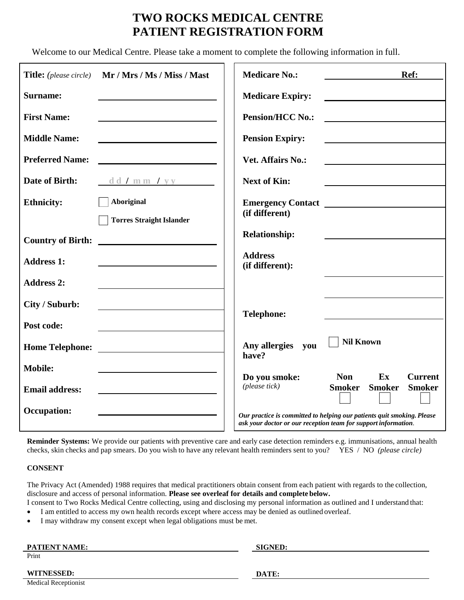# **TWO ROCKS MEDICAL CENTRE PATIENT REGISTRATION FORM**

Welcome to our Medical Centre. Please take a moment to complete the following information in full.

| <b>Title:</b> (please circle) | Mr / Mrs / Ms / Miss / Mast     | <b>Medicare No.:</b>              | Ref:                                                                                                                                     |
|-------------------------------|---------------------------------|-----------------------------------|------------------------------------------------------------------------------------------------------------------------------------------|
| <b>Surname:</b>               |                                 | <b>Medicare Expiry:</b>           |                                                                                                                                          |
| <b>First Name:</b>            |                                 | <b>Pension/HCC No.:</b>           |                                                                                                                                          |
| <b>Middle Name:</b>           |                                 | <b>Pension Expiry:</b>            |                                                                                                                                          |
| <b>Preferred Name:</b>        |                                 | <b>Vet. Affairs No.:</b>          |                                                                                                                                          |
| Date of Birth:                | $\frac{d d \ln m y}{m}$         | <b>Next of Kin:</b>               |                                                                                                                                          |
| <b>Ethnicity:</b>             | <b>Aboriginal</b>               |                                   |                                                                                                                                          |
|                               | <b>Torres Straight Islander</b> | (if different)                    |                                                                                                                                          |
| <b>Country of Birth:</b>      |                                 | <b>Relationship:</b>              |                                                                                                                                          |
| <b>Address 1:</b>             |                                 | <b>Address</b><br>(if different): |                                                                                                                                          |
| <b>Address 2:</b>             |                                 |                                   |                                                                                                                                          |
| City / Suburb:                |                                 | <b>Telephone:</b>                 |                                                                                                                                          |
| Post code:                    |                                 |                                   |                                                                                                                                          |
| <b>Home Telephone:</b>        |                                 | Any allergies<br>you<br>have?     | <b>Nil Known</b>                                                                                                                         |
| <b>Mobile:</b>                |                                 |                                   |                                                                                                                                          |
| <b>Email address:</b>         |                                 | Do you smoke:<br>(please tick)    | <b>Non</b><br>Ex<br><b>Current</b><br><b>Smoker</b><br><b>Smoker</b><br><b>Smoker</b>                                                    |
| <b>Occupation:</b>            |                                 |                                   | Our practice is committed to helping our patients quit smoking. Please<br>ask your doctor or our reception team for support information. |

**Reminder Systems:** We provide our patients with preventive care and early case detection reminders e.g. immunisations, annual health checks, skin checks and pap smears. Do you wish to have any relevant health reminders sent to you? YES / NO *(please circle)*

#### **CONSENT**

The Privacy Act (Amended) 1988 requires that medical practitioners obtain consent from each patient with regards to the collection, disclosure and access of personal information. **Please see overleaf for details and complete below.**

I consent to Two Rocks Medical Centre collecting, using and disclosing my personal information as outlined and I understand that:

- I am entitled to access my own health records except where access may be denied as outlined overleaf.
- I may withdraw my consent except when legal obligations must be met.

| <b>PATIENT NAME:</b>        | <b>SIGNED:</b> |
|-----------------------------|----------------|
| Print                       |                |
|                             |                |
| <b>WITNESSED:</b>           | DATE:          |
| <b>Medical Receptionist</b> |                |